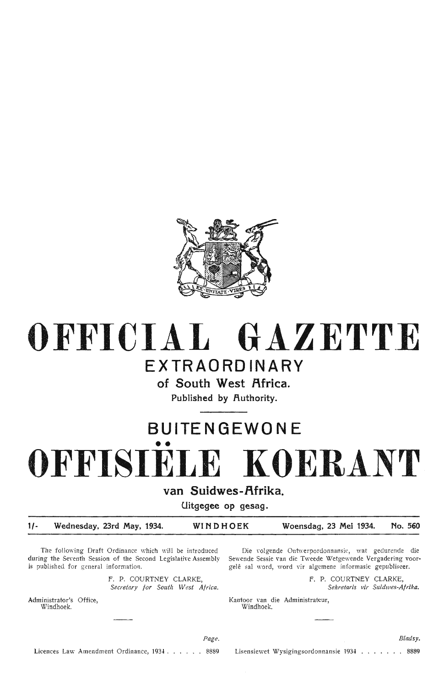

# **OFFICIAL GAZETT.E**

### **EXTRAORDINARY**

**of South West Africa.** 

**Published by Authority.** 

## **BU ITE N GEWO NE**  •• **OFFISIELE KOERANT**

**van Suidwes-f\frika.** 

**Uitgegee op gesag.** 

**1/- Wednesday, 23rd May, 1934. WINDHOEK Woensdag, 23 Mei 1934. No. 560** 

The following Draft Ordinance which will be introduced during the Seventh Session of the Second Legislative Assembly is published for general information.

> F. P. COURTNEY CLARKE, *Secretary for South West Africa.*

Administrator's Office, Windhoek.

Die volgende Ontwerpordonnansie, wat gedurende die Sewende Sessie van die Tweede Wetgewende Vergadering voorgelê sal word, word vir algemene informasie gepubliseer.

> F. P. COURTNEY CLARKE, Sekretaris vir Suidwes-Afrika.

Kantoor Yan die Administrateur, Windhoek.

*Page.* 

Licences Law Amendment Ordinance, 1934 . . . . . . 8889

Lisensiewet Wysigingsordonnansie 1934 . . . . . . . 8889

*Bladsy.*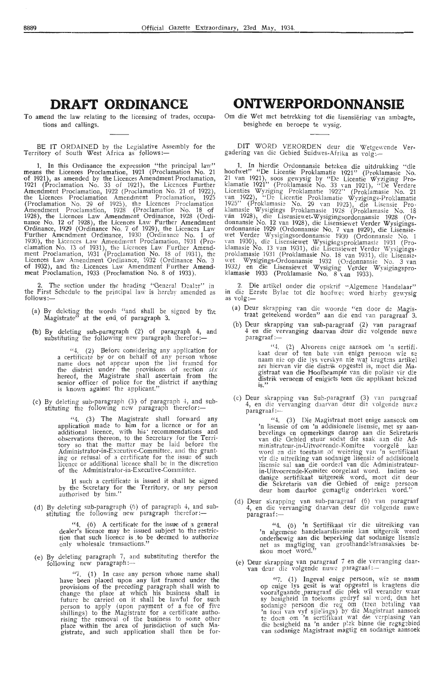#### **DRAFT ORDINANCE**

To amend the law relating to the licensing of trades, occupations and callings.

BE IT ORDAINED by the Legislative Assembly for the Territory of South West Africa as follows:—

1. In this Ordinance the expression "the principal law" means the Licences Proclamation, 1921 (Proclamation No. 21) of 1921), as amended by the Licences Amendment Proclamation, 1921 (Proclamation No. 33 of 1921), the Licences Further Amendment Proclamation, 1922 (Proclamation No. 21 of 1922), the Licences Proclamation Amendment Proclamation, 1925 (Proclamation No. 29 of 1925), the Licences Proclamation Amendment Proclamation, 1928 (Proclamation No. 18 of 1928), the Licences La\v Amendment Ordinance, 1928 (Ordi- nance No. 12 of 1928), the Licences Law Further Amendment Ordinance, 1929 (Ordinance No. 7 of 1929), the Licences Law Further Amendment Ordinance, 1930 (Ordinance No. 1 of 1930), the Licences Law Amendment Proclamation, 1931 (Proclamation No. 13 of 1931), the Licences Law Further Amend-<br>ment Proclamation, 1931 (Proclamation No. 18 of 1931), the Licences Law Amendment Ordinance, 1932 (Ordinance No. 3 of 1932), and the Licences Law Amendment Further Amendment Proclamation, 1933 (Proclamation No. 8 of 1933).

2. The section under the heading "General Dealer" in the First Schedule to the principal law is hereby amended as follows:-

- (a) By deleting the words "and shall be signed by the Magistrate" at the end. of paragraph 3.
- (b) By deleting sub-paragraph (2) of paragraph 4, and substituting the following new paragraph therefor:—

"4. (2) Before considering any application for a certificate by or on behalf of any pers.on whose name does not appear upon the list fram ed for the district under the provisions of section *six* hereof, the Magistrate shall ascertain from the senior officer of police for the district if anything is known against the applicant.''

(c) By deleting sub-paragraph (3) of paragraph 4, and sub-<br>stituting the following new paragraph therefor:—

 $4.$  (3) The Magistrate shall forward any application made to him for a licence or for an additional licence, with his· recommendations and observations thereon, to the Secretary for the Terrifory so that the matter may be laid before the Administrator-in-Exacutive-Committee, and the grant-<br>ing or refusal of a certificate for the issue of such licence or additional licence shall be in the discretion of the Administrator-in-Executive-Committee

If such a certificate is issued it shall be signed by the Secretary for the Territory, or any person authorised by him."

(d) By deleting sub-paragraph (6) of paragraph 4, and sub-<br>stituting the following new paragraph therefor:—

 $4.$  (6) A certificate for the issue of a general dealer's licence may be issued subject to the restriction that such licence is to be deemed to authorize only wholesale transactions."

(e) By deleting paragraph 7, and substituting therefor the following new paragraph:-

> $''7$ . (1) In case any person whose name shall have been placed upon any list framed under the provisions of the preceding paragraph shall wish to change the place at which his business shall in future be carried on it shall be lawful for such person to apply (upon payment of a fee of five shillings) to the Magistrate for a certificate authorising the removal of the. business to some other place within the area of jurisdiction of such Magistrate, and such apphcation shall then be for-

### **ONTWERPORDONNANSIE**

Om die Wet met betrekking tot die lisensiëring van ambagte. besighede en beroepe te wysig.

DIT WORD VERORDEN deur die Wetgewende Ver-<br>gadering van die Gebied Suidwes-Afrika as volg:-

1. In hierdie Ordonnansie beteken die uitdrukking 'die hoofwet" "De Licentie Proklamatie 1921" (Proklamasie No. 21 van 1921), soos gewysig by "De Licentie Wyziging Proklamatie 1921" (Proklamasie No. 33 \·an 1921), ''D~ Verdere Licenties Wyziging Proklamatie 1922" (Proklamasie No. 21 \'a\_n 1922), "De Licentie Proklamatie Wvzigings-Proklamatie 1925" (Proklamasie No. 29 van 1925), die Lisensie Proklamasie Wysigings Proklamasie 1928 (Proklamasie No. 18 van 1928), die Lisensiewet-Wysigingsordonnansie 1928 (Ordonnansie No. 12 van 1928), die Lisensiewet Verder Wysigingsordonnansie 1929 (Ordonnansie No. 7 van 1929), die Lisensiewet Verder Wysigingsordonnansie 1930 (Ordonnansie No. 1 van 1930), die Lisensiewet Wysigingsproklamasie 1931 (Proklamasie No. 13 van 1931), die Lisensiewet Verder Wysigings. proklamasie 1931 (Proklamasie No. 18 van 1931), die Lisensiewet Wysigings-Ordonnansie 1932 (Ordonnansie No. 3 van 1932) en die Lisensiewet Wysiging Verder Wysigingsproklamasie 1933 (Proklamasie No.  $8 \text{ van } 1933$ ).

2. Die artikel onder die opskrif "Algemene Handelaar" in die Eerste Bylae tot die hoofwet word hierby gewysig as volg:-

- (a) Deur skrapping van die woorde "en door de Magistraat geteekend worden" aan die end van paragraaf 3.
- (b) Deur skrapping van sub-paragraaf (2) van paragraaf 4 en die vervanging daarvan deur die volgende nuwe paragraaf :-

"4. (2) Alvorens enige aansoek om 'n sertifi.<br>kaat deur of ten bate van enige persoon wie se naam nie op die lys verskyn nie wat kragtens artikel *ses* hiervan vir die distrik opgestel is, moet die Ma. gistraat van die Hoofbeampie van die polisie vir die distrik verneem of enigiets teen die applikant bekend is."

(c) Deur skrapping van Sub-paragraaf (3) van paragraaf 4, en die vervanging daarvan deur die volgende nuwe paragraaf :-

"4. (3) Die Magistraat moet enige aansoek om 'n lisensie of om 'n addisionele lisensie, met sy aanbevelings en opmerkings daarop aan die Sekretaris van die Gebied stuur sodat die saak aan die Ad· ministrateur-in-Uitvoerende-Komitee voorgelê kan word en die toestaan of weiering van 'n sertifikaat vir die uitreiking van sodanige lisensie of addisionele lisensie sal aan die oordeel van die Administrateurin-Uitvoerende-Komitee oorgelaat word. Indien so-<br>danige sertifikaat uitgereik word, moet dit deur<br>die Sekretaris van die Gebied of enige persoon die Gehielaris van die Gebied of einge pers

(d) Deur skrapping van sub-paragraaf (6) van paragraaf 4, en die vervanging daarvan deur die volgende nuwe paragraaf :-

> "4. (6) 'n Sertifikaat vir die uitreiking van 'n algemene handelaarslisensie kan uitgereik word onderhewig aan die beperking dat sodanige lisensie net as magtiging van groothandelstransaksies beskou moet word."

(e) Deur skrapping van paragraaf 7 en die vervanging daar-<br>van deur die volgende nuwe paragraaf:-

" $7.$  (1) Ingeval enige persoon, wie se naam op enige lys gesit is wat opgestel is kragtens die voorafgaande paragraaf die plek wil verander waar sy besigheid in toekoms gedryf sal word, dan het sodanige persoon die reg om (teen betaling van 'n fooi van vyf sjielings) by die Magistraat aansoek te doen om 'n sertifikaat wat die verplasing van die besigheid na 'n ander plek binne die regsgebied an sodanige Magistraat magtig en sodanige aansoek